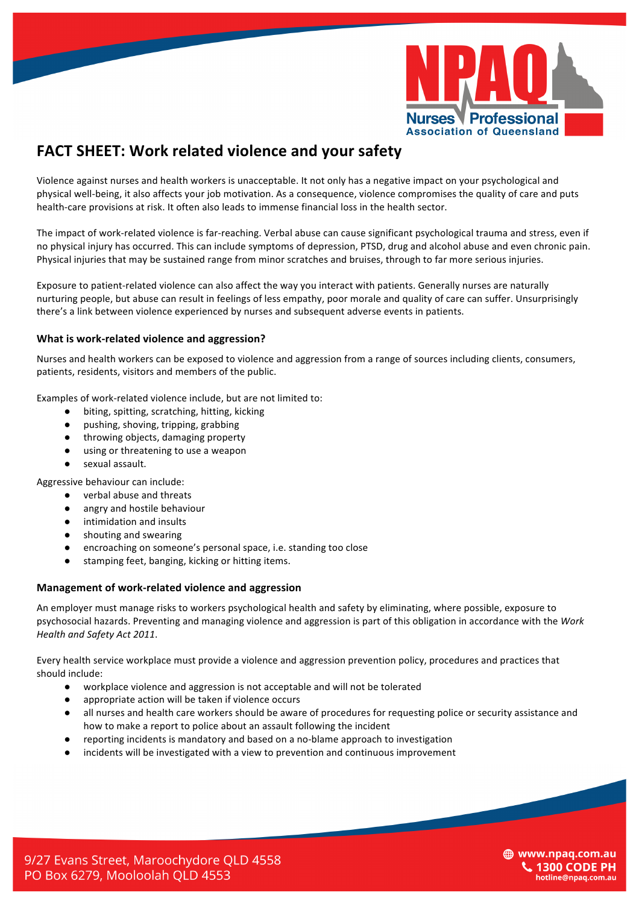

# **FACT SHEET: Work related violence and your safety**

Violence against nurses and health workers is unacceptable. It not only has a negative impact on your psychological and physical well-being, it also affects your job motivation. As a consequence, violence compromises the quality of care and puts health-care provisions at risk. It often also leads to immense financial loss in the health sector.

The impact of work-related violence is far-reaching. Verbal abuse can cause significant psychological trauma and stress, even if no physical injury has occurred. This can include symptoms of depression, PTSD, drug and alcohol abuse and even chronic pain. Physical injuries that may be sustained range from minor scratches and bruises, through to far more serious injuries.

Exposure to patient-related violence can also affect the way you interact with patients. Generally nurses are naturally nurturing people, but abuse can result in feelings of less empathy, poor morale and quality of care can suffer. Unsurprisingly there's a link between violence experienced by nurses and subsequent adverse events in patients.

## **What is work-related violence and aggression?**

Nurses and health workers can be exposed to violence and aggression from a range of sources including clients, consumers, patients, residents, visitors and members of the public.

Examples of work-related violence include, but are not limited to:

- biting, spitting, scratching, hitting, kicking
- pushing, shoving, tripping, grabbing
- throwing objects, damaging property
- using or threatening to use a weapon
- sexual assault.

Aggressive behaviour can include:

- verbal abuse and threats
- angry and hostile behaviour
- intimidation and insults
- shouting and swearing
- encroaching on someone's personal space, i.e. standing too close
- stamping feet, banging, kicking or hitting items.

#### **Management of work-related violence and aggression**

An employer must manage risks to workers psychological health and safety by eliminating, where possible, exposure to psychosocial hazards. Preventing and managing violence and aggression is part of this obligation in accordance with the Work *Health and Safety Act 2011*.

Every health service workplace must provide a violence and aggression prevention policy, procedures and practices that should include:

- workplace violence and aggression is not acceptable and will not be tolerated
- appropriate action will be taken if violence occurs
- all nurses and health care workers should be aware of procedures for requesting police or security assistance and how to make a report to police about an assault following the incident
- reporting incidents is mandatory and based on a no-blame approach to investigation
- incidents will be investigated with a view to prevention and continuous improvement